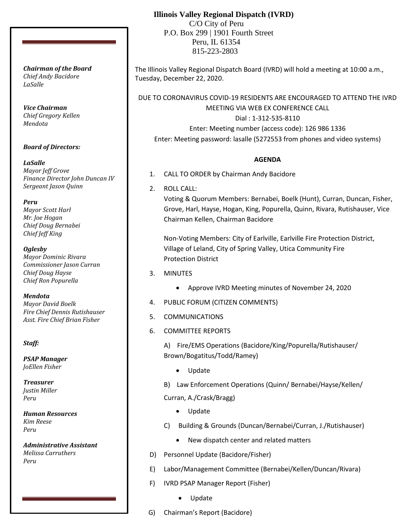# **Illinois Valley Regional Dispatch (IVRD)**

 C/O City of Peru P.O. Box 299 | 1901 Fourth Street Peru, IL 61354 815-223-2803

The Illinois Valley Regional Dispatch Board (IVRD) will hold a meeting at 10:00 a.m., Tuesday, December 22, 2020.

DUE TO CORONAVIRUS COVID-19 RESIDENTS ARE ENCOURAGED TO ATTEND THE IVRD MEETING VIA WEB EX CONFERENCE CALL

Dial : 1-312-535-8110 Enter: Meeting number (access code): 126 986 1336

Enter: Meeting password: lasalle (5272553 from phones and video systems)

### **AGENDA**

- 1. CALL TO ORDER by Chairman Andy Bacidore
- 2. ROLL CALL:

Voting & Quorum Members: Bernabei, Boelk (Hunt), Curran, Duncan, Fisher, Grove, Harl, Hayse, Hogan, King, Popurella, Quinn, Rivara, Rutishauser, Vice Chairman Kellen, Chairman Bacidore

Non-Voting Members: City of Earlville, Earlville Fire Protection District, Village of Leland, City of Spring Valley, Utica Community Fire Protection District

- 3. MINUTES
	- Approve IVRD Meeting minutes of November 24, 2020
- 4. PUBLIC FORUM (CITIZEN COMMENTS)
- 5. COMMUNICATIONS
- 6. COMMITTEE REPORTS

A) Fire/EMS Operations (Bacidore/King/Popurella/Rutishauser/ Brown/Bogatitus/Todd/Ramey)

- Update
- B) Law Enforcement Operations (Quinn/ Bernabei/Hayse/Kellen/

Curran, A./Crask/Bragg)

- Update
- C) Building & Grounds (Duncan/Bernabei/Curran, J./Rutishauser)
	- New dispatch center and related matters
- D) Personnel Update (Bacidore/Fisher)
- E) Labor/Management Committee (Bernabei/Kellen/Duncan/Rivara)
- F) IVRD PSAP Manager Report (Fisher)
	- Update
- G) Chairman's Report (Bacidore)

*Chairman of the Board Chief Andy Bacidore LaSalle*

*Vice Chairman Chief Gregory Kellen Mendota*

*Board of Directors:*

*LaSalle Mayor Jeff Grove Finance Director John Duncan IV Sergeant Jason Quinn*

*Peru Mayor Scott Harl Mr. Joe Hogan Chief Doug Bernabei Chief Jeff King*

*Oglesby Mayor Dominic Rivara Commissioner Jason Curran Chief Doug Hayse Chief Ron Popurella*

*Mendota Mayor David Boelk Fire Chief Dennis Rutishauser Asst. Fire Chief Brian Fisher*

*Staff:*

*PSAP Manager JoEllen Fisher*

*Treasurer Justin Miller Peru*

*Human Resources Kim Reese Peru*

*Administrative Assistant Melissa Carruthers Peru*